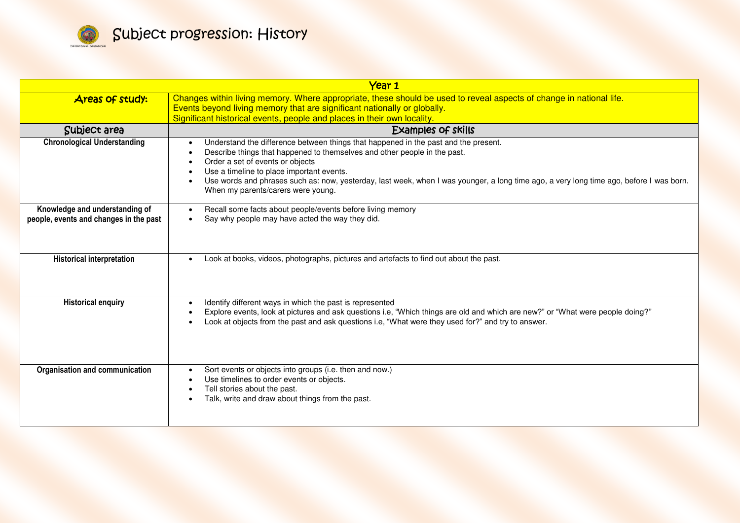

| Year 1                                                                   |                                                                                                                                                                                                                                                                                                                                                                                                                                    |
|--------------------------------------------------------------------------|------------------------------------------------------------------------------------------------------------------------------------------------------------------------------------------------------------------------------------------------------------------------------------------------------------------------------------------------------------------------------------------------------------------------------------|
| <b>Areas of study:</b>                                                   | Changes within living memory. Where appropriate, these should be used to reveal aspects of change in national life.<br>Events beyond living memory that are significant nationally or globally.<br>Significant historical events, people and places in their own locality.                                                                                                                                                         |
| Subject area                                                             | <b>Examples of skills</b>                                                                                                                                                                                                                                                                                                                                                                                                          |
| <b>Chronological Understanding</b>                                       | Understand the difference between things that happened in the past and the present.<br>Describe things that happened to themselves and other people in the past.<br>Order a set of events or objects<br>Use a timeline to place important events.<br>Use words and phrases such as: now, yesterday, last week, when I was younger, a long time ago, a very long time ago, before I was born.<br>When my parents/carers were young. |
| Knowledge and understanding of<br>people, events and changes in the past | Recall some facts about people/events before living memory<br>Say why people may have acted the way they did.<br>$\bullet$                                                                                                                                                                                                                                                                                                         |
| <b>Historical interpretation</b>                                         | Look at books, videos, photographs, pictures and artefacts to find out about the past.                                                                                                                                                                                                                                                                                                                                             |
| <b>Historical enquiry</b>                                                | Identify different ways in which the past is represented<br>Explore events, look at pictures and ask questions i.e, "Which things are old and which are new?" or "What were people doing?"<br>Look at objects from the past and ask questions i.e, "What were they used for?" and try to answer.                                                                                                                                   |
| Organisation and communication                                           | Sort events or objects into groups (i.e. then and now.)<br>Use timelines to order events or objects.<br>Tell stories about the past.<br>Talk, write and draw about things from the past.                                                                                                                                                                                                                                           |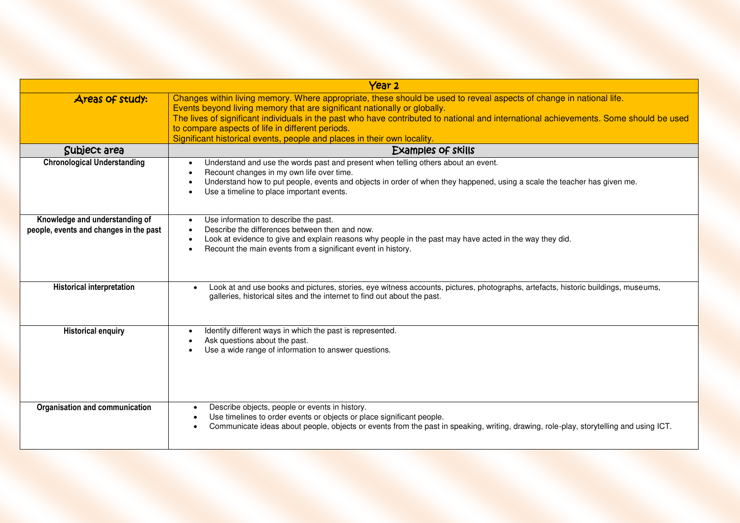| Year <sub>2</sub>                                                        |                                                                                                                                                                                                                                                                                                                                                                                                                                                                         |
|--------------------------------------------------------------------------|-------------------------------------------------------------------------------------------------------------------------------------------------------------------------------------------------------------------------------------------------------------------------------------------------------------------------------------------------------------------------------------------------------------------------------------------------------------------------|
| Areas of study:                                                          | Changes within living memory. Where appropriate, these should be used to reveal aspects of change in national life.<br>Events beyond living memory that are significant nationally or globally.<br>The lives of significant individuals in the past who have contributed to national and international achievements. Some should be used<br>to compare aspects of life in different periods.<br>Significant historical events, people and places in their own locality. |
| Subject area                                                             | <b>Examples of skills</b>                                                                                                                                                                                                                                                                                                                                                                                                                                               |
| <b>Chronological Understanding</b>                                       | Understand and use the words past and present when telling others about an event.<br>Recount changes in my own life over time.<br>Understand how to put people, events and objects in order of when they happened, using a scale the teacher has given me.<br>Use a timeline to place important events.                                                                                                                                                                 |
| Knowledge and understanding of<br>people, events and changes in the past | Use information to describe the past.<br>Describe the differences between then and now.<br>Look at evidence to give and explain reasons why people in the past may have acted in the way they did.<br>Recount the main events from a significant event in history.                                                                                                                                                                                                      |
| <b>Historical interpretation</b>                                         | Look at and use books and pictures, stories, eye witness accounts, pictures, photographs, artefacts, historic buildings, museums,<br>galleries, historical sites and the internet to find out about the past.                                                                                                                                                                                                                                                           |
| <b>Historical enquiry</b>                                                | Identify different ways in which the past is represented.<br>Ask questions about the past.<br>Use a wide range of information to answer questions.                                                                                                                                                                                                                                                                                                                      |
| Organisation and communication                                           | Describe objects, people or events in history.<br>$\bullet$<br>Use timelines to order events or objects or place significant people.<br>$\bullet$<br>Communicate ideas about people, objects or events from the past in speaking, writing, drawing, role-play, storytelling and using ICT.<br>$\bullet$                                                                                                                                                                 |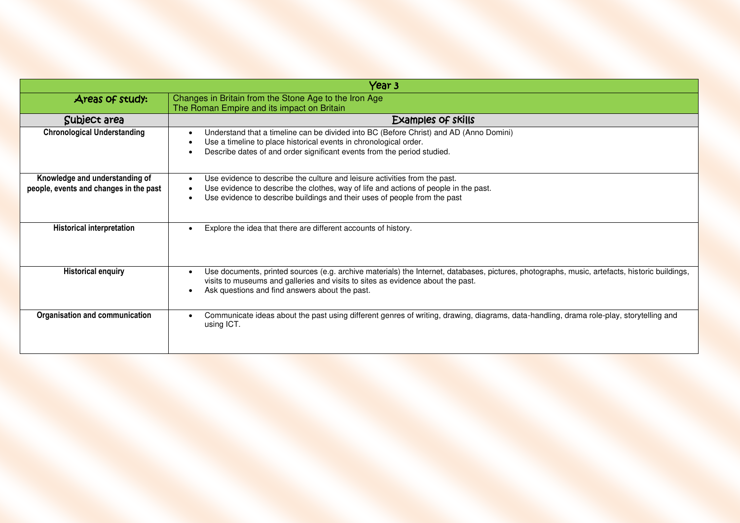| Year 3                                                                   |                                                                                                                                                                                                                                                                                    |
|--------------------------------------------------------------------------|------------------------------------------------------------------------------------------------------------------------------------------------------------------------------------------------------------------------------------------------------------------------------------|
| Areas of study:                                                          | Changes in Britain from the Stone Age to the Iron Age<br>The Roman Empire and its impact on Britain                                                                                                                                                                                |
| Subject area                                                             | <b>Examples of skills</b>                                                                                                                                                                                                                                                          |
| <b>Chronological Understanding</b>                                       | Understand that a timeline can be divided into BC (Before Christ) and AD (Anno Domini)<br>Use a timeline to place historical events in chronological order.<br>Describe dates of and order significant events from the period studied.                                             |
| Knowledge and understanding of<br>people, events and changes in the past | Use evidence to describe the culture and leisure activities from the past.<br>Use evidence to describe the clothes, way of life and actions of people in the past.<br>Use evidence to describe buildings and their uses of people from the past                                    |
| <b>Historical interpretation</b>                                         | Explore the idea that there are different accounts of history.                                                                                                                                                                                                                     |
| <b>Historical enquiry</b>                                                | Use documents, printed sources (e.g. archive materials) the Internet, databases, pictures, photographs, music, artefacts, historic buildings,<br>visits to museums and galleries and visits to sites as evidence about the past.<br>Ask questions and find answers about the past. |
| Organisation and communication                                           | Communicate ideas about the past using different genres of writing, drawing, diagrams, data-handling, drama role-play, storytelling and<br>using ICT.                                                                                                                              |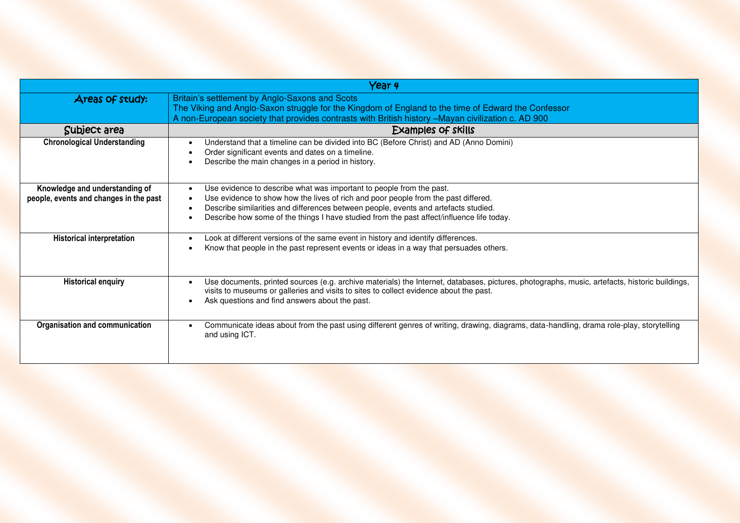|                                                                          | Year 4                                                                                                                                                                                                                                                                                                                                         |
|--------------------------------------------------------------------------|------------------------------------------------------------------------------------------------------------------------------------------------------------------------------------------------------------------------------------------------------------------------------------------------------------------------------------------------|
| Areas of study:                                                          | Britain's settlement by Anglo-Saxons and Scots<br>The Viking and Anglo-Saxon struggle for the Kingdom of England to the time of Edward the Confessor<br>A non-European society that provides contrasts with British history -Mayan civilization c. AD 900                                                                                      |
| Subject area                                                             | Examples of skills                                                                                                                                                                                                                                                                                                                             |
| <b>Chronological Understanding</b>                                       | Understand that a timeline can be divided into BC (Before Christ) and AD (Anno Domini)<br>$\bullet$<br>Order significant events and dates on a timeline.<br>Describe the main changes in a period in history.                                                                                                                                  |
| Knowledge and understanding of<br>people, events and changes in the past | Use evidence to describe what was important to people from the past.<br>Use evidence to show how the lives of rich and poor people from the past differed.<br>Describe similarities and differences between people, events and artefacts studied.<br>Describe how some of the things I have studied from the past affect/influence life today. |
| <b>Historical interpretation</b>                                         | Look at different versions of the same event in history and identify differences.<br>$\bullet$<br>Know that people in the past represent events or ideas in a way that persuades others.                                                                                                                                                       |
| <b>Historical enquiry</b>                                                | Use documents, printed sources (e.g. archive materials) the Internet, databases, pictures, photographs, music, artefacts, historic buildings,<br>visits to museums or galleries and visits to sites to collect evidence about the past.<br>Ask questions and find answers about the past.                                                      |
| Organisation and communication                                           | Communicate ideas about from the past using different genres of writing, drawing, diagrams, data-handling, drama role-play, storytelling<br>and using ICT.                                                                                                                                                                                     |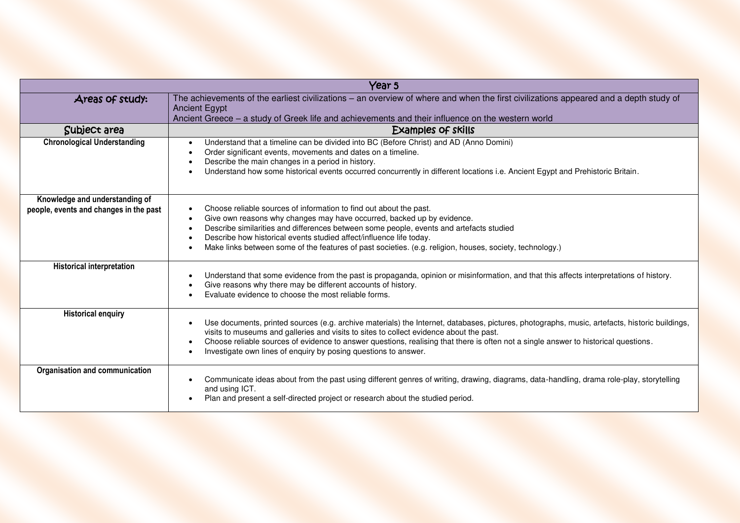| Year 5                                                                   |                                                                                                                                                                                                                                                                                                                                                                                                                                                    |
|--------------------------------------------------------------------------|----------------------------------------------------------------------------------------------------------------------------------------------------------------------------------------------------------------------------------------------------------------------------------------------------------------------------------------------------------------------------------------------------------------------------------------------------|
| Areas of study:                                                          | The achievements of the earliest civilizations - an overview of where and when the first civilizations appeared and a depth study of<br><b>Ancient Egypt</b><br>Ancient Greece – a study of Greek life and achievements and their influence on the western world                                                                                                                                                                                   |
| Subject area                                                             | <b>Examples of skills</b>                                                                                                                                                                                                                                                                                                                                                                                                                          |
| <b>Chronological Understanding</b>                                       | Understand that a timeline can be divided into BC (Before Christ) and AD (Anno Domini)<br>Order significant events, movements and dates on a timeline.<br>Describe the main changes in a period in history.<br>Understand how some historical events occurred concurrently in different locations i.e. Ancient Egypt and Prehistoric Britain.                                                                                                      |
| Knowledge and understanding of<br>people, events and changes in the past | Choose reliable sources of information to find out about the past.<br>Give own reasons why changes may have occurred, backed up by evidence.<br>Describe similarities and differences between some people, events and artefacts studied<br>Describe how historical events studied affect/influence life today.<br>Make links between some of the features of past societies. (e.g. religion, houses, society, technology.)                         |
| <b>Historical interpretation</b>                                         | Understand that some evidence from the past is propaganda, opinion or misinformation, and that this affects interpretations of history.<br>Give reasons why there may be different accounts of history.<br>Evaluate evidence to choose the most reliable forms.                                                                                                                                                                                    |
| <b>Historical enquiry</b>                                                | Use documents, printed sources (e.g. archive materials) the Internet, databases, pictures, photographs, music, artefacts, historic buildings,<br>visits to museums and galleries and visits to sites to collect evidence about the past.<br>Choose reliable sources of evidence to answer questions, realising that there is often not a single answer to historical questions.<br>Investigate own lines of enquiry by posing questions to answer. |
| Organisation and communication                                           | Communicate ideas about from the past using different genres of writing, drawing, diagrams, data-handling, drama role-play, storytelling<br>and using ICT.<br>Plan and present a self-directed project or research about the studied period.                                                                                                                                                                                                       |

I